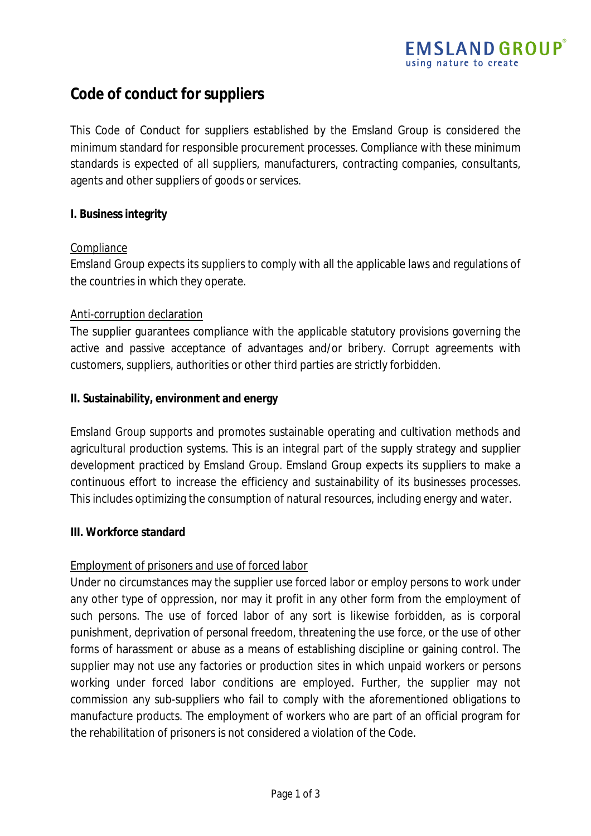# **Code of conduct for suppliers**

This Code of Conduct for suppliers established by the Emsland Group is considered the minimum standard for responsible procurement processes. Compliance with these minimum standards is expected of all suppliers, manufacturers, contracting companies, consultants, agents and other suppliers of goods or services.

# **I. Business integrity**

#### Compliance

Emsland Group expects its suppliers to comply with all the applicable laws and regulations of the countries in which they operate.

# Anti-corruption declaration

The supplier guarantees compliance with the applicable statutory provisions governing the active and passive acceptance of advantages and/or bribery. Corrupt agreements with customers, suppliers, authorities or other third parties are strictly forbidden.

# **II. Sustainability, environment and energy**

Emsland Group supports and promotes sustainable operating and cultivation methods and agricultural production systems. This is an integral part of the supply strategy and supplier development practiced by Emsland Group. Emsland Group expects its suppliers to make a continuous effort to increase the efficiency and sustainability of its businesses processes. This includes optimizing the consumption of natural resources, including energy and water.

#### **III. Workforce standard**

# Employment of prisoners and use of forced labor

Under no circumstances may the supplier use forced labor or employ persons to work under any other type of oppression, nor may it profit in any other form from the employment of such persons. The use of forced labor of any sort is likewise forbidden, as is corporal punishment, deprivation of personal freedom, threatening the use force, or the use of other forms of harassment or abuse as a means of establishing discipline or gaining control. The supplier may not use any factories or production sites in which unpaid workers or persons working under forced labor conditions are employed. Further, the supplier may not commission any sub-suppliers who fail to comply with the aforementioned obligations to manufacture products. The employment of workers who are part of an official program for the rehabilitation of prisoners is not considered a violation of the Code.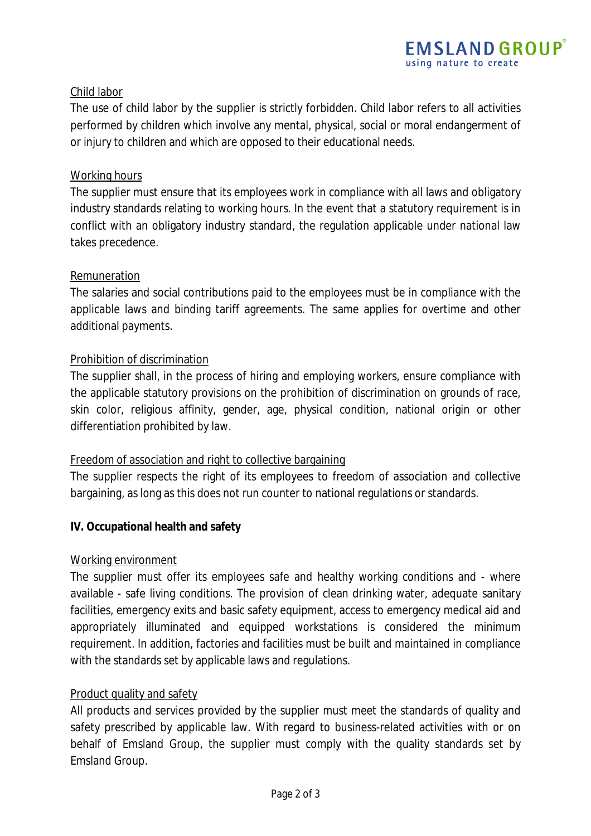# Child labor

The use of child labor by the supplier is strictly forbidden. Child labor refers to all activities performed by children which involve any mental, physical, social or moral endangerment of or injury to children and which are opposed to their educational needs.

## Working hours

The supplier must ensure that its employees work in compliance with all laws and obligatory industry standards relating to working hours. In the event that a statutory requirement is in conflict with an obligatory industry standard, the regulation applicable under national law takes precedence.

# Remuneration

The salaries and social contributions paid to the employees must be in compliance with the applicable laws and binding tariff agreements. The same applies for overtime and other additional payments.

# Prohibition of discrimination

The supplier shall, in the process of hiring and employing workers, ensure compliance with the applicable statutory provisions on the prohibition of discrimination on grounds of race, skin color, religious affinity, gender, age, physical condition, national origin or other differentiation prohibited by law.

# Freedom of association and right to collective bargaining

The supplier respects the right of its employees to freedom of association and collective bargaining, as long as this does not run counter to national regulations or standards.

# **IV. Occupational health and safety**

#### Working environment

The supplier must offer its employees safe and healthy working conditions and - where available - safe living conditions. The provision of clean drinking water, adequate sanitary facilities, emergency exits and basic safety equipment, access to emergency medical aid and appropriately illuminated and equipped workstations is considered the minimum requirement. In addition, factories and facilities must be built and maintained in compliance with the standards set by applicable laws and regulations.

#### Product quality and safety

All products and services provided by the supplier must meet the standards of quality and safety prescribed by applicable law. With regard to business-related activities with or on behalf of Emsland Group, the supplier must comply with the quality standards set by Emsland Group.